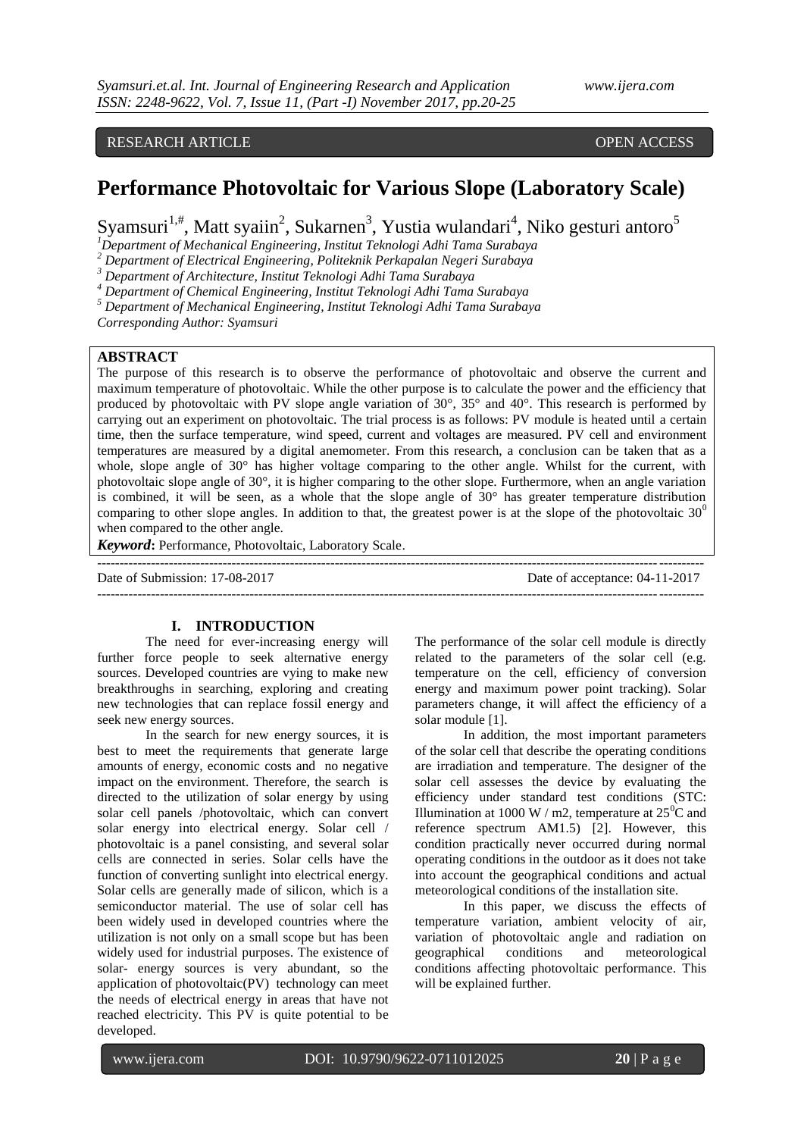# RESEARCH ARTICLE **CONTRACT ARTICLE** AND LOTE OPEN ACCESS OPEN ACCESS

# **Performance Photovoltaic for Various Slope (Laboratory Scale)**

Syamsuri<sup>1,#</sup>, Matt syaiin<sup>2</sup>, Sukarnen<sup>3</sup>, Yustia wulandari<sup>4</sup>, Niko gesturi antoro<sup>5</sup>

*<sup>1</sup>Department of Mechanical Engineering, Institut Teknologi Adhi Tama Surabaya*

*<sup>2</sup> Department of Electrical Engineering, Politeknik Perkapalan Negeri Surabaya*

*<sup>3</sup> Department of Architecture, Institut Teknologi Adhi Tama Surabaya*

*<sup>4</sup> Department of Chemical Engineering, Institut Teknologi Adhi Tama Surabaya*

*<sup>5</sup> Department of Mechanical Engineering, Institut Teknologi Adhi Tama Surabaya*

*Corresponding Author: Syamsuri*

# **ABSTRACT**

The purpose of this research is to observe the performance of photovoltaic and observe the current and maximum temperature of photovoltaic. While the other purpose is to calculate the power and the efficiency that produced by photovoltaic with PV slope angle variation of 30°, 35° and 40°. This research is performed by carrying out an experiment on photovoltaic. The trial process is as follows: PV module is heated until a certain time, then the surface temperature, wind speed, current and voltages are measured. PV cell and environment temperatures are measured by a digital anemometer. From this research, a conclusion can be taken that as a whole, slope angle of 30° has higher voltage comparing to the other angle. Whilst for the current, with photovoltaic slope angle of 30°, it is higher comparing to the other slope. Furthermore, when an angle variation is combined, it will be seen, as a whole that the slope angle of  $30^{\circ}$  has greater temperature distribution comparing to other slope angles. In addition to that, the greatest power is at the slope of the photovoltaic  $30^{\circ}$ when compared to the other angle.

*Keyword***:** Performance, Photovoltaic, Laboratory Scale.

Date of Submission: 17-08-2017 Date of acceptance: 04-11-2017

---------------------------------------------------------------------------------------------------------------------------------------

 $-1\leq i\leq n-1$ 

# **I. INTRODUCTION**

The need for ever-increasing energy will further force people to seek alternative energy sources. Developed countries are vying to make new breakthroughs in searching, exploring and creating new technologies that can replace fossil energy and seek new energy sources.

In the search for new energy sources, it is best to meet the requirements that generate large amounts of energy, economic costs and no negative impact on the environment. Therefore, the search is directed to the utilization of solar energy by using solar cell panels /photovoltaic, which can convert solar energy into electrical energy. Solar cell / photovoltaic is a panel consisting, and several solar cells are connected in series. Solar cells have the function of converting sunlight into electrical energy. Solar cells are generally made of silicon, which is a semiconductor material. The use of solar cell has been widely used in developed countries where the utilization is not only on a small scope but has been widely used for industrial purposes. The existence of solar- energy sources is very abundant, so the application of photovoltaic $(PV)$  technology can meet the needs of electrical energy in areas that have not reached electricity. This PV is quite potential to be developed.

The performance of the solar cell module is directly related to the parameters of the solar cell (e.g. temperature on the cell, efficiency of conversion energy and maximum power point tracking). Solar parameters change, it will affect the efficiency of a solar module [1].

In addition, the most important parameters of the solar cell that describe the operating conditions are irradiation and temperature. The designer of the solar cell assesses the device by evaluating the efficiency under standard test conditions (STC: Illumination at 1000 W / m2, temperature at  $25^{\circ}$ C and reference spectrum AM1.5) [2]. However, this condition practically never occurred during normal operating conditions in the outdoor as it does not take into account the geographical conditions and actual meteorological conditions of the installation site.

In this paper, we discuss the effects of temperature variation, ambient velocity of air, variation of photovoltaic angle and radiation on geographical conditions and meteorological conditions affecting photovoltaic performance. This will be explained further.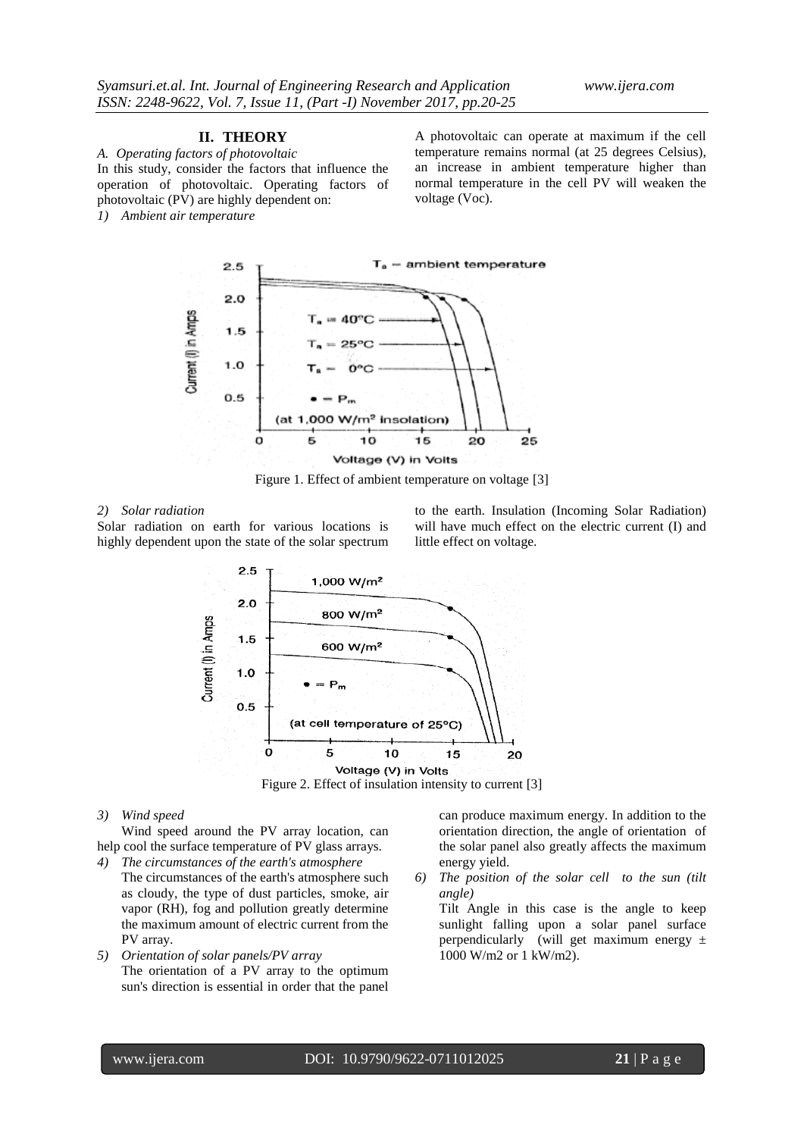#### **II. THEORY**

*A. Operating factors of photovoltaic* In this study, consider the factors that influence the operation of photovoltaic. Operating factors of photovoltaic (PV) are highly dependent on: *1) Ambient air temperature*

A photovoltaic can operate at maximum if the cell temperature remains normal (at 25 degrees Celsius), an increase in ambient temperature higher than normal temperature in the cell PV will weaken the voltage (Voc).



Figure 1. Effect of ambient temperature on voltage [3]

#### *2) Solar radiation*

Solar radiation on earth for various locations is highly dependent upon the state of the solar spectrum to the earth. Insulation (Incoming Solar Radiation) will have much effect on the electric current (I) and little effect on voltage.



Figure 2. Effect of insulation intensity to current [3]

#### *3) Wind speed*

Wind speed around the PV array location, can help cool the surface temperature of PV glass arrays.

- *4) The circumstances of the earth's atmosphere* The circumstances of the earth's atmosphere such as cloudy, the type of dust particles, smoke, air vapor (RH), fog and pollution greatly determine the maximum amount of electric current from the PV array.
- *5) Orientation of solar panels/PV array* The orientation of a PV array to the optimum sun's direction is essential in order that the panel

can produce maximum energy. In addition to the orientation direction, the angle of orientation of the solar panel also greatly affects the maximum energy yield.

*6) The position of the solar cell to the sun (tilt angle)*

Tilt Angle in this case is the angle to keep sunlight falling upon a solar panel surface perpendicularly (will get maximum energy  $\pm$ 1000 W/m2 or 1 kW/m2).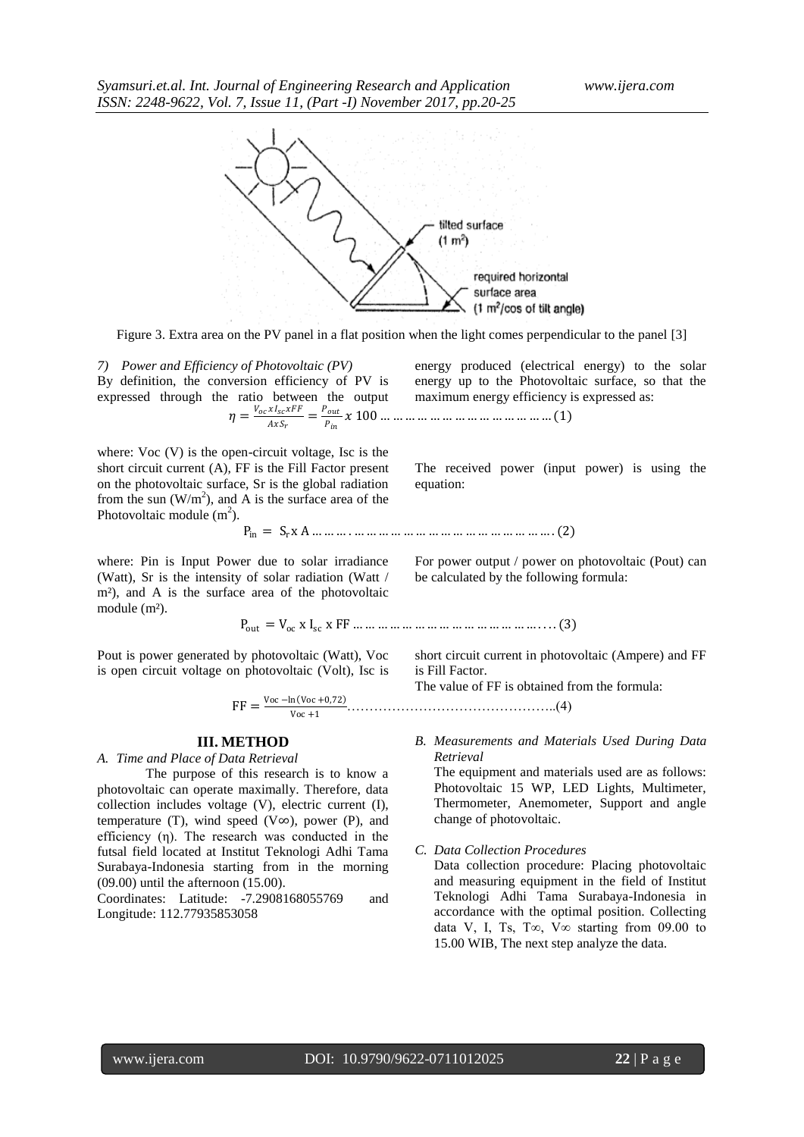

Figure 3. Extra area on the PV panel in a flat position when the light comes perpendicular to the panel [3]

*7) Power and Efficiency of Photovoltaic (PV)* By definition, the conversion efficiency of PV is expressed through the ratio between the output  $\eta = \frac{V_{oc} x I_{sc} x F F}{4 \pi G}$  $\frac{xI_{sc}xFF}{AxS_r} = \frac{P_{out}}{P_{in}}$  $\frac{out}{P_{in}}$  x 100 … … … … … … … … … … … … … … (1)

where: Voc (V) is the open-circuit voltage, Isc is the short circuit current (A), FF is the Fill Factor present on the photovoltaic surface, Sr is the global radiation from the sun  $(W/m^2)$ , and A is the surface area of the Photovoltaic module  $(m^2)$ .

energy produced (electrical energy) to the solar energy up to the Photovoltaic surface, so that the maximum energy efficiency is expressed as:

The received power (input power) is using the equation:

$$
P_{in} = S_r x A ... ... ... ... ... ... ... ... ... ... ... ... ... ... ... ... ... ... (2)
$$

where: Pin is Input Power due to solar irradiance (Watt), Sr is the intensity of solar radiation (Watt / m²), and A is the surface area of the photovoltaic module (m<sup>2</sup>).

For power output / power on photovoltaic (Pout) can be calculated by the following formula:

$$
P_{\text{out}} = V_{\text{oc}} \times I_{\text{sc}} \times FF \dots \dots \dots \dots \dots \dots \dots \dots \dots \dots \dots \dots \dots \dots (3)
$$

Pout is power generated by photovoltaic (Watt), Voc is open circuit voltage on photovoltaic (Volt), Isc is short circuit current in photovoltaic (Ampere) and FF is Fill Factor.

The value of FF is obtained from the formula:

 $FF = \frac{Voc - ln(Voc + 0.72)}{Voc + 1}$ Voc +1 ………………………………………..(4)

#### **III. METHOD**

*A. Time and Place of Data Retrieval*

The purpose of this research is to know a photovoltaic can operate maximally. Therefore, data collection includes voltage (V), electric current (I), temperature (T), wind speed ( $V\infty$ ), power (P), and efficiency (η). The research was conducted in the futsal field located at Institut Teknologi Adhi Tama Surabaya-Indonesia starting from in the morning (09.00) until the afternoon (15.00).

Coordinates: Latitude: -7.2908168055769 and Longitude: 112.77935853058

*B. Measurements and Materials Used During Data Retrieval*

The equipment and materials used are as follows: Photovoltaic 15 WP, LED Lights, Multimeter, Thermometer, Anemometer, Support and angle change of photovoltaic.

# *C. Data Collection Procedures*

Data collection procedure: Placing photovoltaic and measuring equipment in the field of Institut Teknologi Adhi Tama Surabaya-Indonesia in accordance with the optimal position. Collecting data V, I, Ts, T∞, V∞ starting from 09.00 to 15.00 WIB, The next step analyze the data.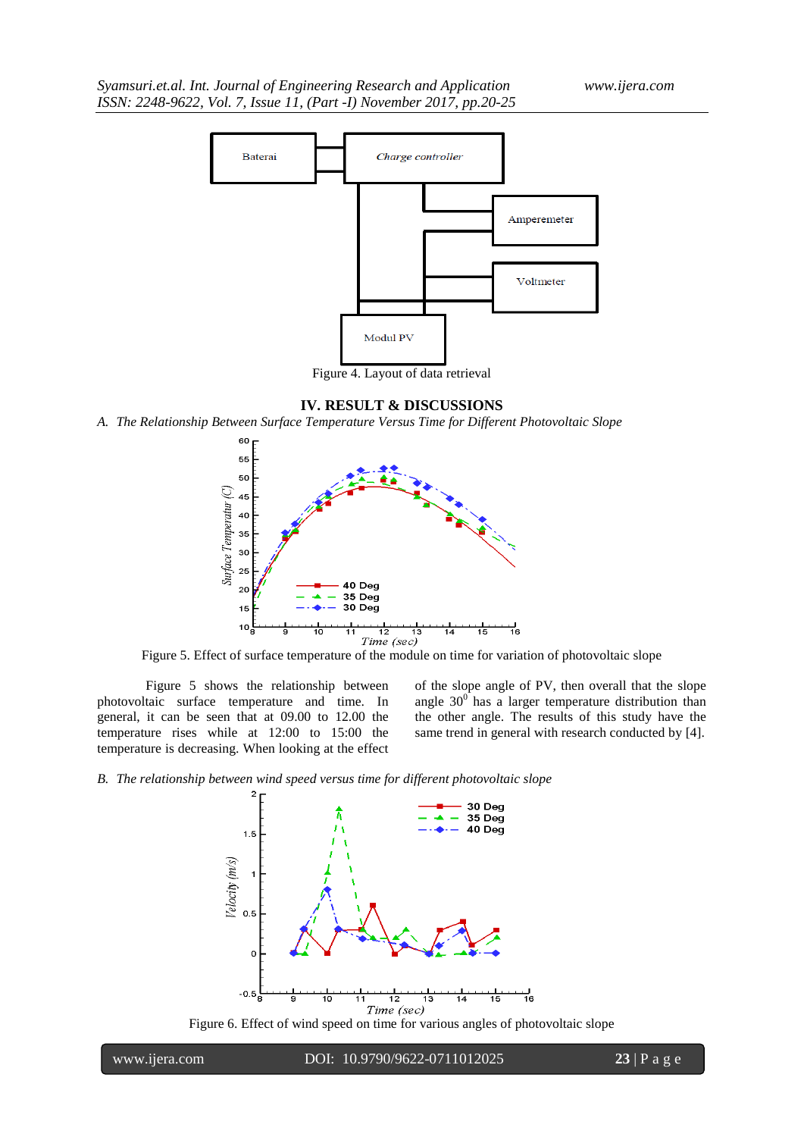

Figure 4. Layout of data retrieval

## **IV. RESULT & DISCUSSIONS**

*A. The Relationship Between Surface Temperature Versus Time for Different Photovoltaic Slope*



Figure 5 shows the relationship between photovoltaic surface temperature and time. In general, it can be seen that at 09.00 to 12.00 the temperature rises while at 12:00 to 15:00 the temperature is decreasing. When looking at the effect

of the slope angle of PV, then overall that the slope angle  $30^\circ$  has a larger temperature distribution than the other angle. The results of this study have the same trend in general with research conducted by [4].

ہے<br>16

*B. The relationship between wind speed versus time for different photovoltaic slope*



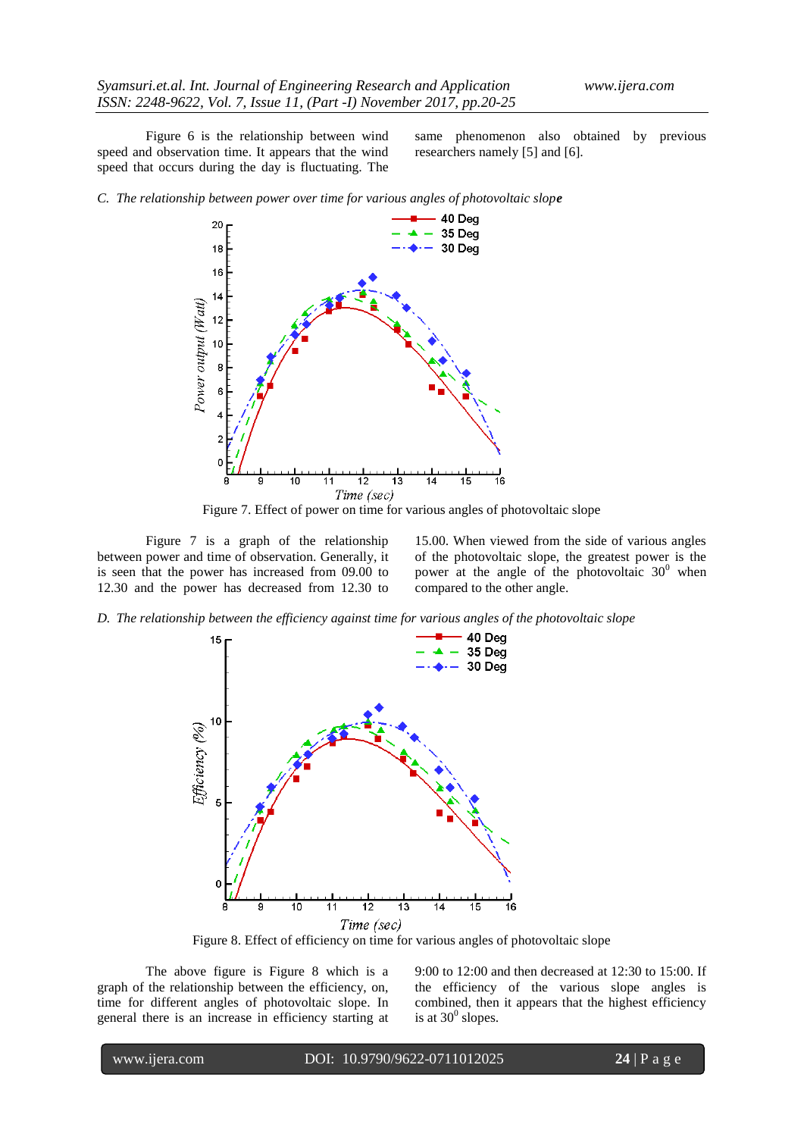Figure 6 is the relationship between wind speed and observation time. It appears that the wind speed that occurs during the day is fluctuating. The

same phenomenon also obtained by previous researchers namely [5] and [6].



*C. The relationship between power over time for various angles of photovoltaic slope*



Figure 7 is a graph of the relationship between power and time of observation. Generally, it is seen that the power has increased from 09.00 to 12.30 and the power has decreased from 12.30 to

15.00. When viewed from the side of various angles of the photovoltaic slope, the greatest power is the power at the angle of the photovoltaic  $30^0$  when compared to the other angle.

*D. The relationship between the efficiency against time for various angles of the photovoltaic slope*



Figure 8. Effect of efficiency on time for various angles of photovoltaic slope

The above figure is Figure 8 which is a graph of the relationship between the efficiency, on, time for different angles of photovoltaic slope. In general there is an increase in efficiency starting at

9:00 to 12:00 and then decreased at 12:30 to 15:00. If the efficiency of the various slope angles is combined, then it appears that the highest efficiency is at  $30^0$  slopes.